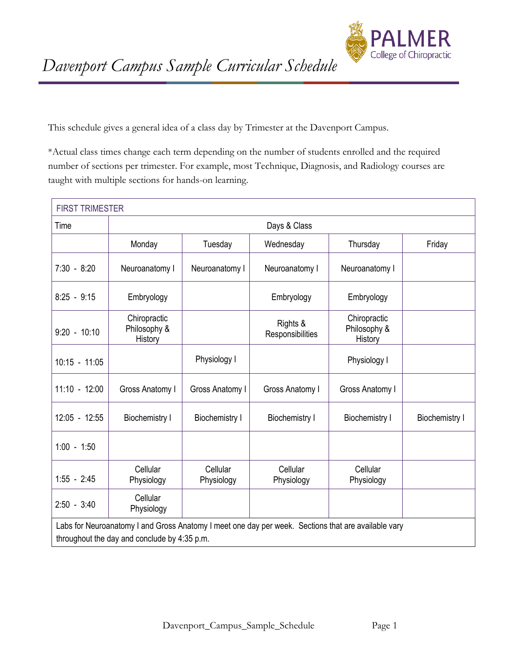

This schedule gives a general idea of a class day by Trimester at the Davenport Campus.

\*Actual class times change each term depending on the number of students enrolled and the required number of sections per trimester. For example, most Technique, Diagnosis, and Radiology courses are taught with multiple sections for hands-on learning.

| <b>FIRST TRIMESTER</b> |                                                                                                                                                     |                        |                              |                                         |                       |  |  |
|------------------------|-----------------------------------------------------------------------------------------------------------------------------------------------------|------------------------|------------------------------|-----------------------------------------|-----------------------|--|--|
| Time                   |                                                                                                                                                     |                        | Days & Class                 |                                         |                       |  |  |
|                        | Monday                                                                                                                                              | Tuesday                | Wednesday                    | Thursday                                | Friday                |  |  |
| $7:30 - 8:20$          | Neuroanatomy I                                                                                                                                      | Neuroanatomy I         | Neuroanatomy I               | Neuroanatomy I                          |                       |  |  |
| $8:25 - 9:15$          | Embryology                                                                                                                                          |                        | Embryology                   | Embryology                              |                       |  |  |
| $9:20 - 10:10$         | Chiropractic<br>Philosophy &<br>History                                                                                                             |                        | Rights &<br>Responsibilities | Chiropractic<br>Philosophy &<br>History |                       |  |  |
| $10:15 - 11:05$        |                                                                                                                                                     | Physiology I           |                              | Physiology I                            |                       |  |  |
| $11:10 - 12:00$        | Gross Anatomy I                                                                                                                                     | Gross Anatomy I        | Gross Anatomy I              | Gross Anatomy I                         |                       |  |  |
| $12:05 - 12:55$        | <b>Biochemistry I</b>                                                                                                                               | <b>Biochemistry I</b>  | <b>Biochemistry I</b>        | <b>Biochemistry I</b>                   | <b>Biochemistry I</b> |  |  |
| $1:00 - 1:50$          |                                                                                                                                                     |                        |                              |                                         |                       |  |  |
| $1:55 - 2:45$          | Cellular<br>Physiology                                                                                                                              | Cellular<br>Physiology | Cellular<br>Physiology       | Cellular<br>Physiology                  |                       |  |  |
| $2:50 - 3:40$          | Cellular<br>Physiology                                                                                                                              |                        |                              |                                         |                       |  |  |
|                        | Labs for Neuroanatomy I and Gross Anatomy I meet one day per week. Sections that are available vary<br>throughout the day and conclude by 4:35 p.m. |                        |                              |                                         |                       |  |  |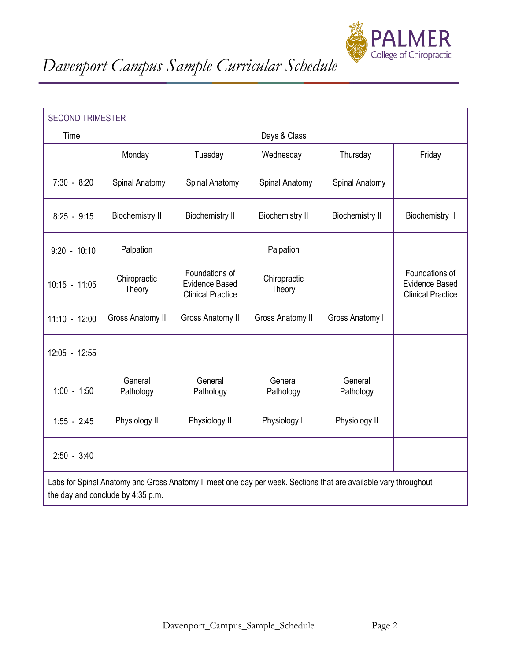

| <b>SECOND TRIMESTER</b> |                        |                                                                                                                 |                        |                        |                                                                     |  |
|-------------------------|------------------------|-----------------------------------------------------------------------------------------------------------------|------------------------|------------------------|---------------------------------------------------------------------|--|
| Time                    |                        |                                                                                                                 | Days & Class           |                        |                                                                     |  |
|                         | Monday                 | Tuesday                                                                                                         | Wednesday              | Thursday               | Friday                                                              |  |
| $7:30 - 8:20$           | Spinal Anatomy         | Spinal Anatomy                                                                                                  | Spinal Anatomy         | Spinal Anatomy         |                                                                     |  |
| $8:25 - 9:15$           | <b>Biochemistry II</b> | <b>Biochemistry II</b>                                                                                          | <b>Biochemistry II</b> | <b>Biochemistry II</b> | <b>Biochemistry II</b>                                              |  |
| $9:20 - 10:10$          | Palpation              |                                                                                                                 | Palpation              |                        |                                                                     |  |
| $10:15 - 11:05$         | Chiropractic<br>Theory | Foundations of<br><b>Evidence Based</b><br><b>Clinical Practice</b>                                             | Chiropractic<br>Theory |                        | Foundations of<br><b>Evidence Based</b><br><b>Clinical Practice</b> |  |
| $11:10 - 12:00$         | Gross Anatomy II       | Gross Anatomy II                                                                                                | Gross Anatomy II       | Gross Anatomy II       |                                                                     |  |
| 12:05 - 12:55           |                        |                                                                                                                 |                        |                        |                                                                     |  |
| $1:00 - 1:50$           | General<br>Pathology   | General<br>Pathology                                                                                            | General<br>Pathology   | General<br>Pathology   |                                                                     |  |
| $1:55 - 2:45$           | Physiology II          | Physiology II                                                                                                   | Physiology II          | Physiology II          |                                                                     |  |
| $2:50 - 3:40$           |                        |                                                                                                                 |                        |                        |                                                                     |  |
|                         |                        | Labs for Spinal Anatomy and Gross Anatomy II meet one day per week. Sections that are available vary throughout |                        |                        |                                                                     |  |

the day and conclude by 4:35 p.m.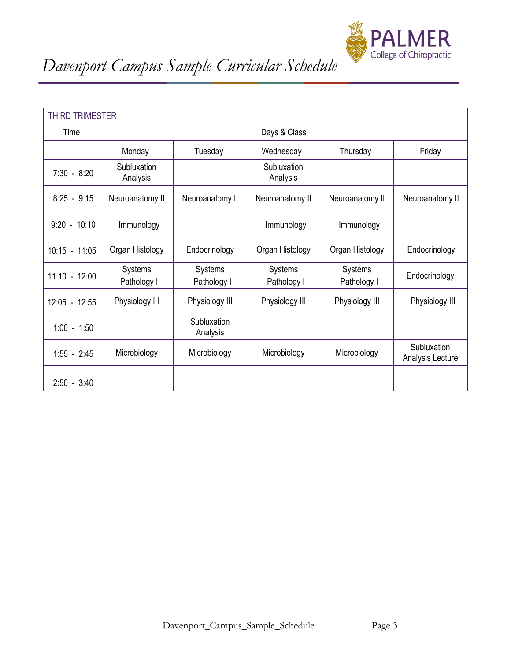

|                 | <b>THIRD TRIMESTER</b>        |                               |                         |                        |                                 |  |  |  |
|-----------------|-------------------------------|-------------------------------|-------------------------|------------------------|---------------------------------|--|--|--|
| Time            |                               | Days & Class                  |                         |                        |                                 |  |  |  |
|                 | Monday                        | Tuesday                       | Wednesday               | Thursday               | Friday                          |  |  |  |
| $7:30 - 8:20$   | Subluxation<br>Analysis       |                               | Subluxation<br>Analysis |                        |                                 |  |  |  |
| $8:25 - 9:15$   | Neuroanatomy II               | Neuroanatomy II               | Neuroanatomy II         | Neuroanatomy II        | Neuroanatomy II                 |  |  |  |
| $9:20 - 10:10$  | Immunology                    |                               | Immunology              | Immunology             |                                 |  |  |  |
| $10:15 - 11:05$ | Organ Histology               | Endocrinology                 | Organ Histology         | Organ Histology        | Endocrinology                   |  |  |  |
| $11:10 - 12:00$ | <b>Systems</b><br>Pathology I | <b>Systems</b><br>Pathology I | Systems<br>Pathology I  | Systems<br>Pathology I | Endocrinology                   |  |  |  |
| $12:05 - 12:55$ | Physiology III                | Physiology III                | Physiology III          | Physiology III         | Physiology III                  |  |  |  |
| $1:00 - 1:50$   |                               | Subluxation<br>Analysis       |                         |                        |                                 |  |  |  |
| $1:55 - 2:45$   | Microbiology                  | Microbiology                  | Microbiology            | Microbiology           | Subluxation<br>Analysis Lecture |  |  |  |
| $2:50 - 3:40$   |                               |                               |                         |                        |                                 |  |  |  |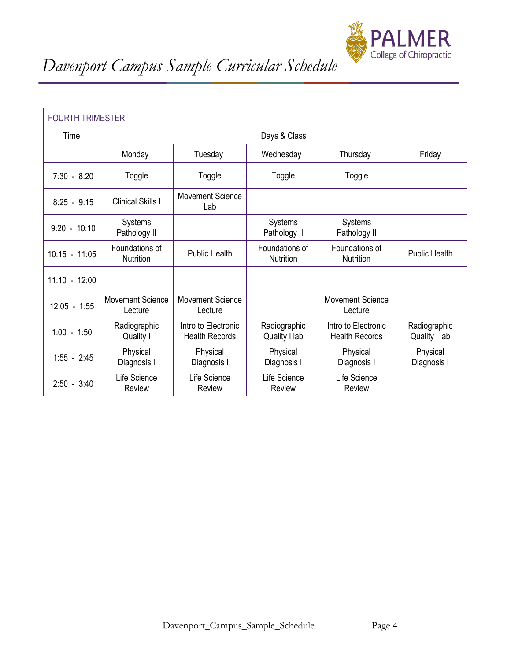

| <b>FOURTH TRIMESTER</b> |                                    |                                              |                                |                                              |                               |  |  |
|-------------------------|------------------------------------|----------------------------------------------|--------------------------------|----------------------------------------------|-------------------------------|--|--|
| Time                    |                                    | Days & Class                                 |                                |                                              |                               |  |  |
|                         | Monday                             | Tuesday                                      | Wednesday                      | Thursday                                     | Friday                        |  |  |
| $7:30 - 8:20$           | Toggle                             | Toggle                                       | Toggle                         | Toggle                                       |                               |  |  |
| $8:25 - 9:15$           | <b>Clinical Skills I</b>           | <b>Movement Science</b><br>Lab               |                                |                                              |                               |  |  |
| $9:20 - 10:10$          | Systems<br>Pathology II            |                                              | <b>Systems</b><br>Pathology II | Systems<br>Pathology II                      |                               |  |  |
| $10:15 - 11:05$         | Foundations of<br>Nutrition        | <b>Public Health</b>                         | Foundations of<br>Nutrition    | Foundations of<br><b>Nutrition</b>           | Public Health                 |  |  |
| $11:10 - 12:00$         |                                    |                                              |                                |                                              |                               |  |  |
| $12:05 - 1:55$          | <b>Movement Science</b><br>Lecture | <b>Movement Science</b><br>Lecture           |                                | <b>Movement Science</b><br>Lecture           |                               |  |  |
| $1:00 - 1:50$           | Radiographic<br>Quality I          | Intro to Electronic<br><b>Health Records</b> | Radiographic<br>Quality I lab  | Intro to Electronic<br><b>Health Records</b> | Radiographic<br>Quality I lab |  |  |
| $1:55 - 2:45$           | Physical<br>Diagnosis I            | Physical<br>Diagnosis I                      | Physical<br>Diagnosis I        | Physical<br>Diagnosis I                      | Physical<br>Diagnosis I       |  |  |
| $2:50 - 3:40$           | Life Science<br>Review             | Life Science<br><b>Review</b>                | Life Science<br>Review         | Life Science<br>Review                       |                               |  |  |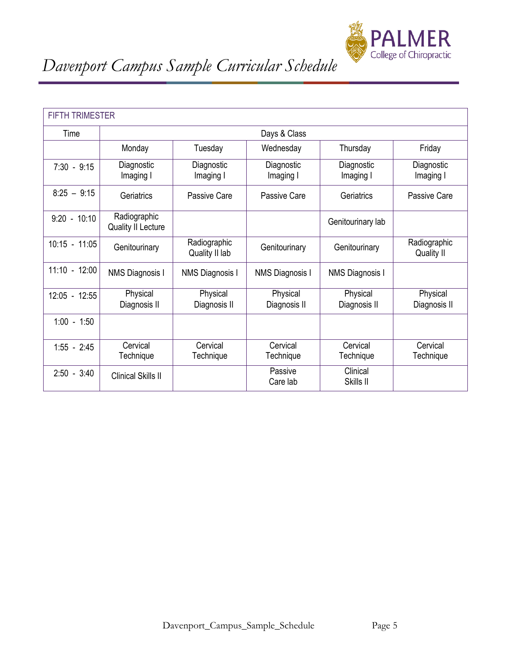

| <b>FIFTH TRIMESTER</b> |                                           |                                |                          |                          |                            |  |
|------------------------|-------------------------------------------|--------------------------------|--------------------------|--------------------------|----------------------------|--|
| Time                   |                                           |                                | Days & Class             |                          |                            |  |
|                        | Monday                                    | Tuesday                        | Wednesday                | Thursday                 | Friday                     |  |
| $7:30 - 9:15$          | Diagnostic<br>Imaging I                   | Diagnostic<br>Imaging I        | Diagnostic<br>Imaging I  | Diagnostic<br>Imaging I  | Diagnostic<br>Imaging I    |  |
| $8:25 - 9:15$          | Geriatrics                                | Passive Care                   | Passive Care             | Geriatrics               | Passive Care               |  |
| $9:20 - 10:10$         | Radiographic<br><b>Quality II Lecture</b> |                                |                          | Genitourinary lab        |                            |  |
| $10:15 - 11:05$        | Genitourinary                             | Radiographic<br>Quality II lab | Genitourinary            | Genitourinary            | Radiographic<br>Quality II |  |
| $11:10 - 12:00$        | <b>NMS Diagnosis I</b>                    | <b>NMS Diagnosis I</b>         | NMS Diagnosis I          | <b>NMS Diagnosis I</b>   |                            |  |
| 12:05 - 12:55          | Physical<br>Diagnosis II                  | Physical<br>Diagnosis II       | Physical<br>Diagnosis II | Physical<br>Diagnosis II | Physical<br>Diagnosis II   |  |
| $1:00 - 1:50$          |                                           |                                |                          |                          |                            |  |
| $1:55 - 2:45$          | Cervical<br>Technique                     | Cervical<br>Technique          | Cervical<br>Technique    | Cervical<br>Technique    | Cervical<br>Technique      |  |
| $2:50 - 3:40$          | <b>Clinical Skills II</b>                 |                                | Passive<br>Care lab      | Clinical<br>Skills II    |                            |  |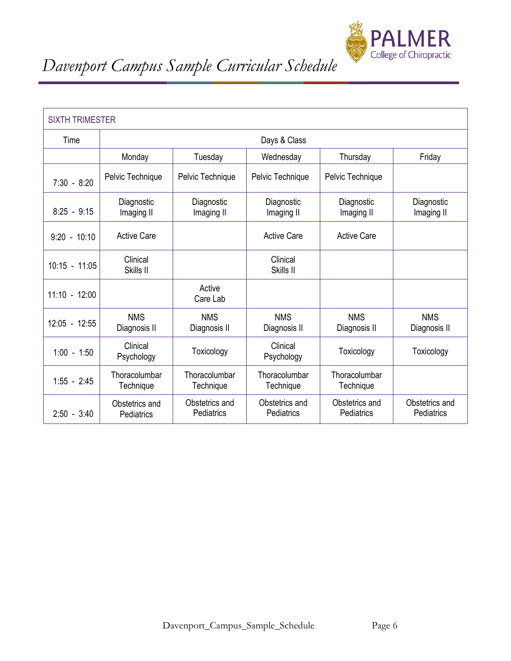

| <b>SIXTH TRIMESTER</b> |                              |                              |                              |                              |                              |  |  |
|------------------------|------------------------------|------------------------------|------------------------------|------------------------------|------------------------------|--|--|
| Time                   |                              | Days & Class                 |                              |                              |                              |  |  |
|                        | Monday                       | Tuesday                      | Wednesday                    | Thursday                     | Friday                       |  |  |
| $7:30 - 8:20$          | Pelvic Technique             | Pelvic Technique             | Pelvic Technique             | Pelvic Technique             |                              |  |  |
| $8:25 - 9:15$          | Diagnostic<br>Imaging II     | Diagnostic<br>Imaging II     | Diagnostic<br>Imaging II     | Diagnostic<br>Imaging II     | Diagnostic<br>Imaging II     |  |  |
| $9:20 - 10:10$         | <b>Active Care</b>           |                              | <b>Active Care</b>           | <b>Active Care</b>           |                              |  |  |
| $10:15 - 11:05$        | Clinical<br>Skills II        |                              | Clinical<br>Skills II        |                              |                              |  |  |
| $11:10 - 12:00$        |                              | Active<br>Care Lab           |                              |                              |                              |  |  |
| $12:05 - 12:55$        | <b>NMS</b><br>Diagnosis II   | <b>NMS</b><br>Diagnosis II   | <b>NMS</b><br>Diagnosis II   | <b>NMS</b><br>Diagnosis II   | <b>NMS</b><br>Diagnosis II   |  |  |
| $1:00 - 1:50$          | Clinical<br>Psychology       | Toxicology                   | Clinical<br>Psychology       | Toxicology                   | Toxicology                   |  |  |
| $1:55 - 2:45$          | Thoracolumbar<br>Technique   | Thoracolumbar<br>Technique   | Thoracolumbar<br>Technique   | Thoracolumbar<br>Technique   |                              |  |  |
| $2:50 - 3:40$          | Obstetrics and<br>Pediatrics | Obstetrics and<br>Pediatrics | Obstetrics and<br>Pediatrics | Obstetrics and<br>Pediatrics | Obstetrics and<br>Pediatrics |  |  |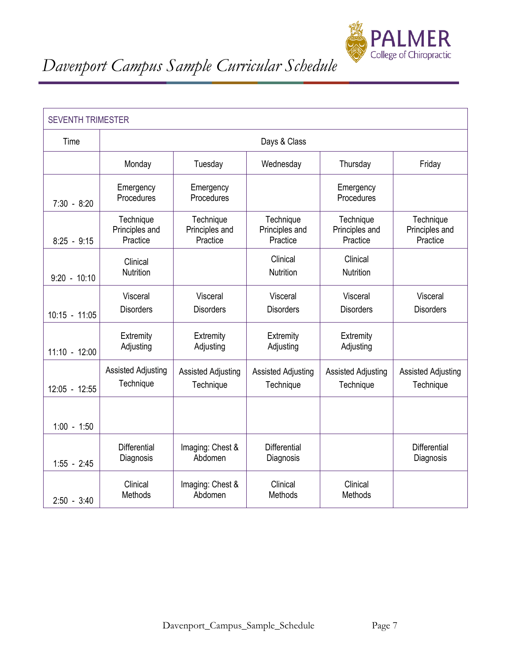

| <b>SEVENTH TRIMESTER</b> |                                         |                                         |                                         |                                         |                                         |  |  |
|--------------------------|-----------------------------------------|-----------------------------------------|-----------------------------------------|-----------------------------------------|-----------------------------------------|--|--|
| Time                     |                                         | Days & Class                            |                                         |                                         |                                         |  |  |
|                          | Monday                                  | Tuesday                                 | Wednesday                               | Thursday                                | Friday                                  |  |  |
| $7:30 - 8:20$            | Emergency<br>Procedures                 | Emergency<br>Procedures                 |                                         | Emergency<br>Procedures                 |                                         |  |  |
| $8:25 - 9:15$            | Technique<br>Principles and<br>Practice | Technique<br>Principles and<br>Practice | Technique<br>Principles and<br>Practice | Technique<br>Principles and<br>Practice | Technique<br>Principles and<br>Practice |  |  |
| $9:20 - 10:10$           | Clinical<br>Nutrition                   |                                         | Clinical<br>Nutrition                   | Clinical<br>Nutrition                   |                                         |  |  |
| $10:15 - 11:05$          | Visceral<br><b>Disorders</b>            | Visceral<br><b>Disorders</b>            | Visceral<br><b>Disorders</b>            | Visceral<br><b>Disorders</b>            | Visceral<br><b>Disorders</b>            |  |  |
| $11:10 - 12:00$          | Extremity<br>Adjusting                  | Extremity<br>Adjusting                  | Extremity<br>Adjusting                  | Extremity<br>Adjusting                  |                                         |  |  |
| 12:05 - 12:55            | <b>Assisted Adjusting</b><br>Technique  | <b>Assisted Adjusting</b><br>Technique  | <b>Assisted Adjusting</b><br>Technique  | <b>Assisted Adjusting</b><br>Technique  | <b>Assisted Adjusting</b><br>Technique  |  |  |
| $1:00 - 1:50$            |                                         |                                         |                                         |                                         |                                         |  |  |
| $1:55 - 2:45$            | <b>Differential</b><br>Diagnosis        | Imaging: Chest &<br>Abdomen             | <b>Differential</b><br>Diagnosis        |                                         | <b>Differential</b><br>Diagnosis        |  |  |
| $2:50 - 3:40$            | Clinical<br>Methods                     | Imaging: Chest &<br>Abdomen             | Clinical<br>Methods                     | Clinical<br>Methods                     |                                         |  |  |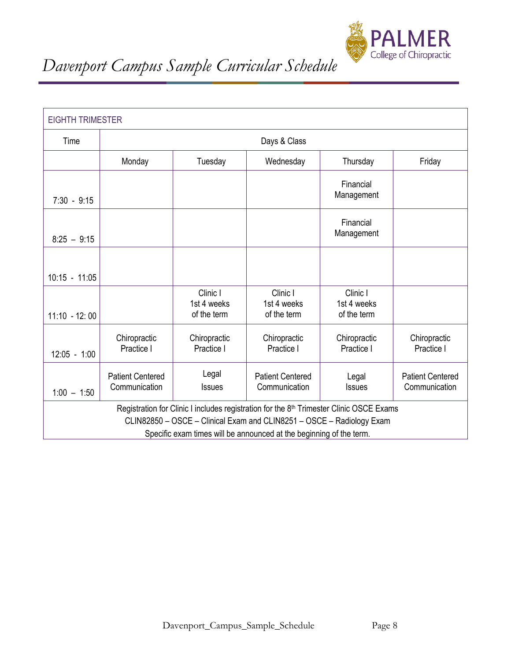

| <b>EIGHTH TRIMESTER</b>                                                                                                                                                                                                                             |                                          |                                        |                                          |                                        |                                          |  |
|-----------------------------------------------------------------------------------------------------------------------------------------------------------------------------------------------------------------------------------------------------|------------------------------------------|----------------------------------------|------------------------------------------|----------------------------------------|------------------------------------------|--|
| Time                                                                                                                                                                                                                                                |                                          | Days & Class                           |                                          |                                        |                                          |  |
|                                                                                                                                                                                                                                                     | Monday                                   | Tuesday                                | Wednesday                                | Thursday                               | Friday                                   |  |
| $7:30 - 9:15$                                                                                                                                                                                                                                       |                                          |                                        |                                          | Financial<br>Management                |                                          |  |
| $8:25 - 9:15$                                                                                                                                                                                                                                       |                                          |                                        |                                          | Financial<br>Management                |                                          |  |
| $10:15 - 11:05$                                                                                                                                                                                                                                     |                                          |                                        |                                          |                                        |                                          |  |
| $11:10 - 12:00$                                                                                                                                                                                                                                     |                                          | Clinic I<br>1st 4 weeks<br>of the term | Clinic I<br>1st 4 weeks<br>of the term   | Clinic I<br>1st 4 weeks<br>of the term |                                          |  |
| $12:05 - 1:00$                                                                                                                                                                                                                                      | Chiropractic<br>Practice I               | Chiropractic<br>Practice I             | Chiropractic<br>Practice I               | Chiropractic<br>Practice I             | Chiropractic<br>Practice I               |  |
| $1:00 - 1:50$                                                                                                                                                                                                                                       | <b>Patient Centered</b><br>Communication | Legal<br><b>Issues</b>                 | <b>Patient Centered</b><br>Communication | Legal<br><b>Issues</b>                 | <b>Patient Centered</b><br>Communication |  |
| Registration for Clinic I includes registration for the 8 <sup>th</sup> Trimester Clinic OSCE Exams<br>CLIN82850 - OSCE - Clinical Exam and CLIN8251 - OSCE - Radiology Exam<br>Specific exam times will be announced at the beginning of the term. |                                          |                                        |                                          |                                        |                                          |  |